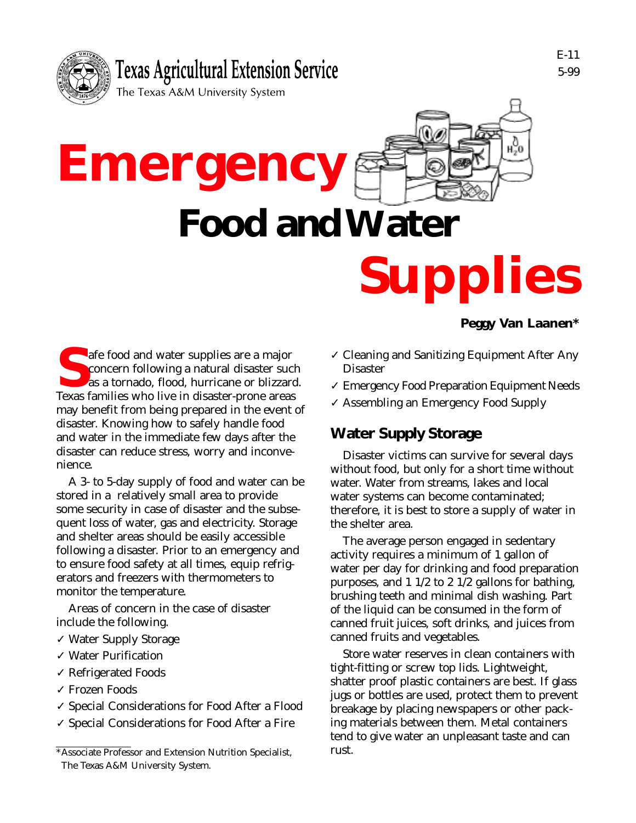

**Emergency**



# **Food and Water**

# **Supplies**

#### **S**afe food and water supplies are a major concern following a natural disaster such as a tornado, flood, hurricane or blizzard. Texas families who live in disaster-prone areas may benefit from being prepared in the event of disaster. Knowing how to safely handle food and water in the immediate few days after the disaster can reduce stress, worry and inconvenience.

A 3- to 5-day supply of food and water can be stored in a relatively small area to provide some security in case of disaster and the subsequent loss of water, gas and electricity. Storage and shelter areas should be easily accessible following a disaster. Prior to an emergency and to ensure food safety at all times, equip refrigerators and freezers with thermometers to monitor the temperature.

Areas of concern in the case of disaster include the following.

- ✓ Water Supply Storage
- ✓ Water Purification
- ✓ Refrigerated Foods
- ✓ Frozen Foods
- ✓ Special Considerations for Food After a Flood
- ✓ Special Considerations for Food After a Fire

#### **Peggy Van Laanen\***

- ✓ Cleaning and Sanitizing Equipment After Any Disaster
- ✓ Emergency Food Preparation Equipment Needs
- ✓ Assembling an Emergency Food Supply

# **Water Supply Storage**

Disaster victims can survive for several days without food, but only for a short time without water. Water from streams, lakes and local water systems can become contaminated; therefore, it is best to store a supply of water in the shelter area.

The average person engaged in sedentary activity requires a minimum of 1 gallon of water per day for drinking and food preparation purposes, and 1 1/2 to 2 1/2 gallons for bathing, brushing teeth and minimal dish washing. Part of the liquid can be consumed in the form of canned fruit juices, soft drinks, and juices from canned fruits and vegetables.

Store water reserves in clean containers with tight-fitting or screw top lids. Lightweight, shatter proof plastic containers are best. If glass jugs or bottles are used, protect them to prevent breakage by placing newspapers or other packing materials between them. Metal containers tend to give water an unpleasant taste and can rust.

<sup>\*</sup>Associate Professor and Extension Nutrition Specialist, The Texas A&M University System.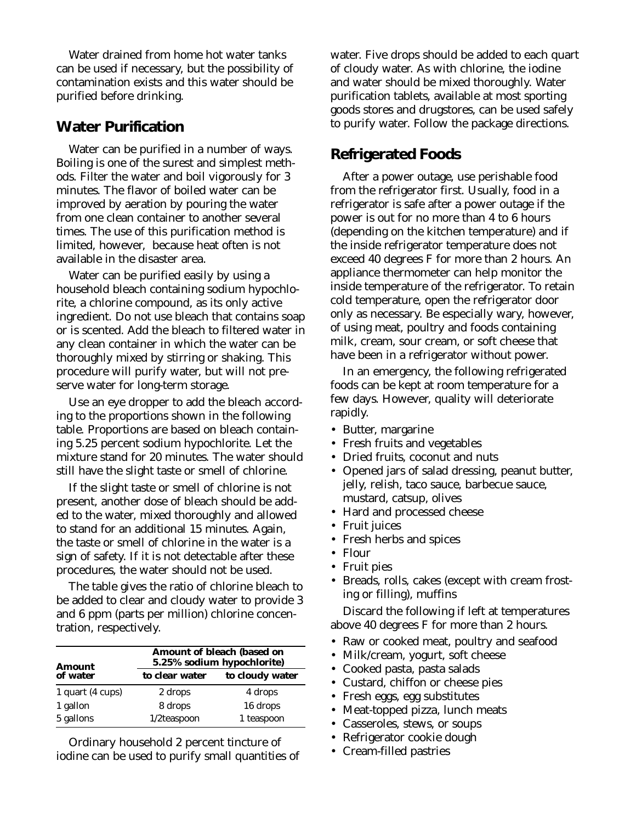Water drained from home hot water tanks can be used if necessary, but the possibility of contamination exists and this water should be purified before drinking.

#### **Water Purification**

Water can be purified in a number of ways. Boiling is one of the surest and simplest methods. Filter the water and boil vigorously for 3 minutes. The flavor of boiled water can be improved by aeration by pouring the water from one clean container to another several times. The use of this purification method is limited, however, because heat often is not available in the disaster area.

Water can be purified easily by using a household bleach containing sodium hypochlorite, a chlorine compound, as its only active ingredient. Do not use bleach that contains soap or is scented. Add the bleach to filtered water in any clean container in which the water can be thoroughly mixed by stirring or shaking. This procedure will purify water, but will not preserve water for long-term storage.

Use an eye dropper to add the bleach according to the proportions shown in the following table. Proportions are based on bleach containing 5.25 percent sodium hypochlorite. Let the mixture stand for 20 minutes. The water should still have the slight taste or smell of chlorine.

If the slight taste or smell of chlorine is not present, another dose of bleach should be added to the water, mixed thoroughly and allowed to stand for an additional 15 minutes. Again, the taste or smell of chlorine in the water is a sign of safety. If it is not detectable after these procedures, the water should not be used.

The table gives the ratio of chlorine bleach to be added to clear and cloudy water to provide 3 and 6 ppm (parts per million) chlorine concentration, respectively.

| <b>Amount</b><br>of water | Amount of bleach (based on<br>5.25% sodium hypochlorite) |                 |
|---------------------------|----------------------------------------------------------|-----------------|
|                           | to clear water                                           | to cloudy water |
| 1 quart (4 cups)          | 2 drops                                                  | 4 drops         |
| 1 gallon                  | 8 drops                                                  | 16 drops        |
| 5 gallons                 | $1/2$ teaspoon                                           | 1 teaspoon      |

Ordinary household 2 percent tincture of iodine can be used to purify small quantities of water. Five drops should be added to each quart of cloudy water. As with chlorine, the iodine and water should be mixed thoroughly. Water purification tablets, available at most sporting goods stores and drugstores, can be used safely to purify water. Follow the package directions.

#### **Refrigerated Foods**

After a power outage, use perishable food from the refrigerator first. Usually, food in a refrigerator is safe after a power outage if the power is out for no more than 4 to 6 hours (depending on the kitchen temperature) and if the inside refrigerator temperature does not exceed 40 degrees F for more than 2 hours. An appliance thermometer can help monitor the inside temperature of the refrigerator. To retain cold temperature, open the refrigerator door only as necessary. Be especially wary, however, of using meat, poultry and foods containing milk, cream, sour cream, or soft cheese that have been in a refrigerator without power.

In an emergency, the following refrigerated foods can be kept at room temperature for a few days. However, quality will deteriorate rapidly.

- Butter, margarine
- Fresh fruits and vegetables
- Dried fruits, coconut and nuts
- Opened jars of salad dressing, peanut butter, jelly, relish, taco sauce, barbecue sauce, mustard, catsup, olives
- Hard and processed cheese
- Fruit juices
- Fresh herbs and spices
- Flour
- Fruit pies
- Breads, rolls, cakes (except with cream frosting or filling), muffins

Discard the following if left at temperatures above 40 degrees F for more than 2 hours.

- Raw or cooked meat, poultry and seafood
- Milk/cream, yogurt, soft cheese
- Cooked pasta, pasta salads
- Custard, chiffon or cheese pies
- Fresh eggs, egg substitutes
- Meat-topped pizza, lunch meats
- Casseroles, stews, or soups
- Refrigerator cookie dough
- Cream-filled pastries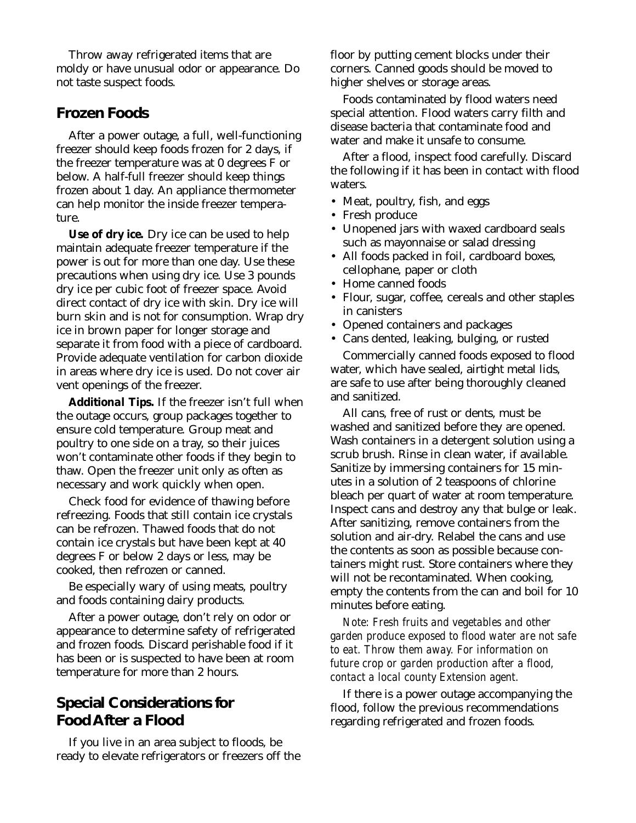Throw away refrigerated items that are moldy or have unusual odor or appearance. Do not taste suspect foods.

#### **Frozen Foods**

After a power outage, a full, well-functioning freezer should keep foods frozen for 2 days, if the freezer temperature was at 0 degrees F or below. A half-full freezer should keep things frozen about 1 day. An appliance thermometer can help monitor the inside freezer temperature.

*Use of dry ice.* Dry ice can be used to help maintain adequate freezer temperature if the power is out for more than one day. Use these precautions when using dry ice. Use 3 pounds dry ice per cubic foot of freezer space. Avoid direct contact of dry ice with skin. Dry ice will burn skin and is not for consumption. Wrap dry ice in brown paper for longer storage and separate it from food with a piece of cardboard. Provide adequate ventilation for carbon dioxide in areas where dry ice is used. Do not cover air vent openings of the freezer.

*Additional Tips.* If the freezer isn't full when the outage occurs, group packages together to ensure cold temperature. Group meat and poultry to one side on a tray, so their juices won't contaminate other foods if they begin to thaw. Open the freezer unit only as often as necessary and work quickly when open.

Check food for evidence of thawing before refreezing. Foods that still contain ice crystals can be refrozen. Thawed foods that do not contain ice crystals but have been kept at 40 degrees F or below 2 days or less, may be cooked, then refrozen or canned.

Be especially wary of using meats, poultry and foods containing dairy products.

After a power outage, don't rely on odor or appearance to determine safety of refrigerated and frozen foods. Discard perishable food if it has been or is suspected to have been at room temperature for more than 2 hours.

#### **Special Considerations for Food After a Flood**

If you live in an area subject to floods, be ready to elevate refrigerators or freezers off the floor by putting cement blocks under their corners. Canned goods should be moved to higher shelves or storage areas.

Foods contaminated by flood waters need special attention. Flood waters carry filth and disease bacteria that contaminate food and water and make it unsafe to consume.

After a flood, inspect food carefully. Discard the following if it has been in contact with flood waters.

- Meat, poultry, fish, and eggs
- Fresh produce
- Unopened jars with waxed cardboard seals such as mayonnaise or salad dressing
- All foods packed in foil, cardboard boxes, cellophane, paper or cloth
- Home canned foods
- Flour, sugar, coffee, cereals and other staples in canisters
- Opened containers and packages
- Cans dented, leaking, bulging, or rusted

Commercially canned foods exposed to flood water, which have sealed, airtight metal lids, are safe to use after being thoroughly cleaned and sanitized.

All cans, free of rust or dents, must be washed and sanitized before they are opened. Wash containers in a detergent solution using a scrub brush. Rinse in clean water, if available. Sanitize by immersing containers for 15 minutes in a solution of 2 teaspoons of chlorine bleach per quart of water at room temperature. Inspect cans and destroy any that bulge or leak. After sanitizing, remove containers from the solution and air-dry. Relabel the cans and use the contents as soon as possible because containers might rust. Store containers where they will not be recontaminated. When cooking, empty the contents from the can and boil for 10 minutes before eating.

*Note: Fresh fruits and vegetables and other garden produce exposed to flood water are not safe to eat. Throw them away. For information on future crop or garden production after a flood, contact a local county Extension agent.*

If there is a power outage accompanying the flood, follow the previous recommendations regarding refrigerated and frozen foods.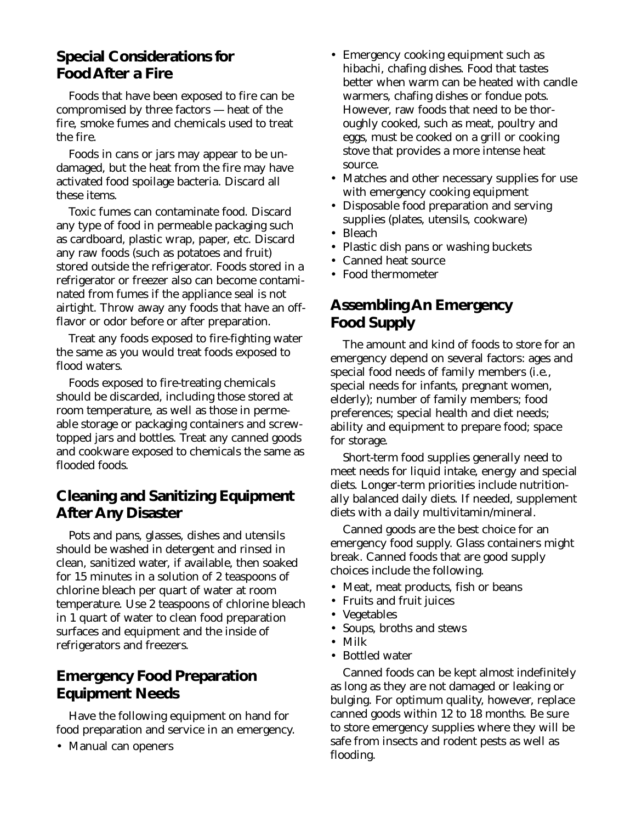## **Special Considerations for Food After a Fire**

Foods that have been exposed to fire can be compromised by three factors — heat of the fire, smoke fumes and chemicals used to treat the fire.

Foods in cans or jars may appear to be undamaged, but the heat from the fire may have activated food spoilage bacteria. Discard all these items.

Toxic fumes can contaminate food. Discard any type of food in permeable packaging such as cardboard, plastic wrap, paper, etc. Discard any raw foods (such as potatoes and fruit) stored outside the refrigerator. Foods stored in a refrigerator or freezer also can become contaminated from fumes if the appliance seal is not airtight. Throw away any foods that have an offflavor or odor before or after preparation.

Treat any foods exposed to fire-fighting water the same as you would treat foods exposed to flood waters.

Foods exposed to fire-treating chemicals should be discarded, including those stored at room temperature, as well as those in permeable storage or packaging containers and screwtopped jars and bottles. Treat any canned goods and cookware exposed to chemicals the same as flooded foods.

# **Cleaning and Sanitizing Equipment After Any Disaster**

Pots and pans, glasses, dishes and utensils should be washed in detergent and rinsed in clean, sanitized water, if available, then soaked for 15 minutes in a solution of 2 teaspoons of chlorine bleach per quart of water at room temperature. Use 2 teaspoons of chlorine bleach in 1 quart of water to clean food preparation surfaces and equipment and the inside of refrigerators and freezers.

# **Emergency Food Preparation Equipment Needs**

Have the following equipment on hand for food preparation and service in an emergency.

• Manual can openers

- Emergency cooking equipment such as hibachi, chafing dishes. Food that tastes better when warm can be heated with candle warmers, chafing dishes or fondue pots. However, raw foods that need to be thoroughly cooked, such as meat, poultry and eggs, must be cooked on a grill or cooking stove that provides a more intense heat source.
- Matches and other necessary supplies for use with emergency cooking equipment
- Disposable food preparation and serving supplies (plates, utensils, cookware)
- Bleach
- Plastic dish pans or washing buckets
- Canned heat source
- Food thermometer

# **Assembling An Emergency Food Supply**

The amount and kind of foods to store for an emergency depend on several factors: ages and special food needs of family members (i.e., special needs for infants, pregnant women, elderly); number of family members; food preferences; special health and diet needs; ability and equipment to prepare food; space for storage.

Short-term food supplies generally need to meet needs for liquid intake, energy and special diets. Longer-term priorities include nutritionally balanced daily diets. If needed, supplement diets with a daily multivitamin/mineral.

Canned goods are the best choice for an emergency food supply. Glass containers might break. Canned foods that are good supply choices include the following.

- Meat, meat products, fish or beans
- Fruits and fruit juices
- Vegetables
- Soups, broths and stews
- Milk
- Bottled water

Canned foods can be kept almost indefinitely as long as they are not damaged or leaking or bulging. For optimum quality, however, replace canned goods within 12 to 18 months. Be sure to store emergency supplies where they will be safe from insects and rodent pests as well as flooding.